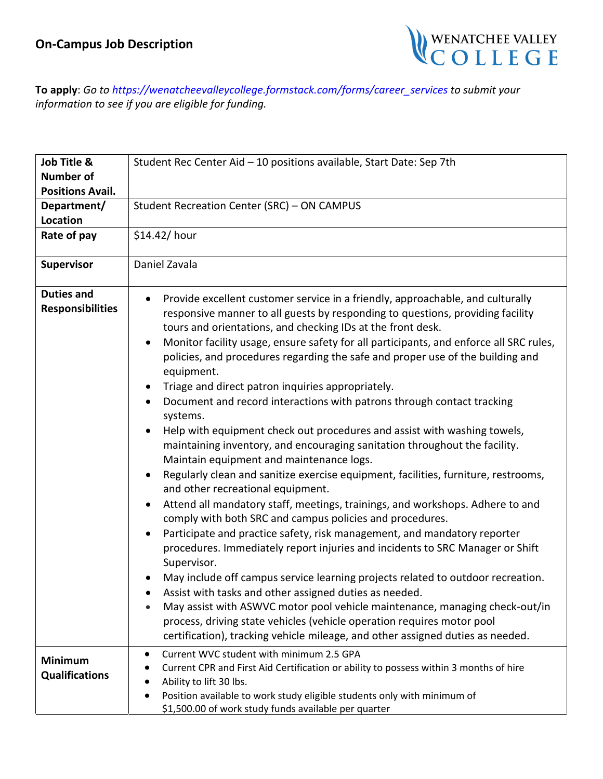

**To apply**: *Go to [https://wenatcheevalleyc](mailto:aolson@wvc.edu)ollege.formstack.com/forms/career\_services to submit your information to see if you are eligible for funding.*

| Job Title &                                  | Student Rec Center Aid - 10 positions available, Start Date: Sep 7th                                                                                                                                                                                                                                                                                                                                                                                                                                                                                                                                                                                                                                                                                                                                                                                                                                                                                                                                                                                                                                                                                                                                                                                                                                                                                                                                                                                                                                                                                                                                                                |
|----------------------------------------------|-------------------------------------------------------------------------------------------------------------------------------------------------------------------------------------------------------------------------------------------------------------------------------------------------------------------------------------------------------------------------------------------------------------------------------------------------------------------------------------------------------------------------------------------------------------------------------------------------------------------------------------------------------------------------------------------------------------------------------------------------------------------------------------------------------------------------------------------------------------------------------------------------------------------------------------------------------------------------------------------------------------------------------------------------------------------------------------------------------------------------------------------------------------------------------------------------------------------------------------------------------------------------------------------------------------------------------------------------------------------------------------------------------------------------------------------------------------------------------------------------------------------------------------------------------------------------------------------------------------------------------------|
| <b>Number of</b>                             |                                                                                                                                                                                                                                                                                                                                                                                                                                                                                                                                                                                                                                                                                                                                                                                                                                                                                                                                                                                                                                                                                                                                                                                                                                                                                                                                                                                                                                                                                                                                                                                                                                     |
| <b>Positions Avail.</b>                      |                                                                                                                                                                                                                                                                                                                                                                                                                                                                                                                                                                                                                                                                                                                                                                                                                                                                                                                                                                                                                                                                                                                                                                                                                                                                                                                                                                                                                                                                                                                                                                                                                                     |
| Department/                                  | Student Recreation Center (SRC) - ON CAMPUS                                                                                                                                                                                                                                                                                                                                                                                                                                                                                                                                                                                                                                                                                                                                                                                                                                                                                                                                                                                                                                                                                                                                                                                                                                                                                                                                                                                                                                                                                                                                                                                         |
| <b>Location</b>                              |                                                                                                                                                                                                                                                                                                                                                                                                                                                                                                                                                                                                                                                                                                                                                                                                                                                                                                                                                                                                                                                                                                                                                                                                                                                                                                                                                                                                                                                                                                                                                                                                                                     |
| Rate of pay                                  | \$14.42/hour                                                                                                                                                                                                                                                                                                                                                                                                                                                                                                                                                                                                                                                                                                                                                                                                                                                                                                                                                                                                                                                                                                                                                                                                                                                                                                                                                                                                                                                                                                                                                                                                                        |
| Supervisor                                   | Daniel Zavala                                                                                                                                                                                                                                                                                                                                                                                                                                                                                                                                                                                                                                                                                                                                                                                                                                                                                                                                                                                                                                                                                                                                                                                                                                                                                                                                                                                                                                                                                                                                                                                                                       |
| <b>Duties and</b><br><b>Responsibilities</b> | Provide excellent customer service in a friendly, approachable, and culturally<br>$\bullet$<br>responsive manner to all guests by responding to questions, providing facility<br>tours and orientations, and checking IDs at the front desk.<br>Monitor facility usage, ensure safety for all participants, and enforce all SRC rules,<br>policies, and procedures regarding the safe and proper use of the building and<br>equipment.<br>Triage and direct patron inquiries appropriately.<br>Document and record interactions with patrons through contact tracking<br>systems.<br>Help with equipment check out procedures and assist with washing towels,<br>maintaining inventory, and encouraging sanitation throughout the facility.<br>Maintain equipment and maintenance logs.<br>Regularly clean and sanitize exercise equipment, facilities, furniture, restrooms,<br>and other recreational equipment.<br>Attend all mandatory staff, meetings, trainings, and workshops. Adhere to and<br>comply with both SRC and campus policies and procedures.<br>Participate and practice safety, risk management, and mandatory reporter<br>procedures. Immediately report injuries and incidents to SRC Manager or Shift<br>Supervisor.<br>May include off campus service learning projects related to outdoor recreation.<br>Assist with tasks and other assigned duties as needed.<br>May assist with ASWVC motor pool vehicle maintenance, managing check-out/in<br>process, driving state vehicles (vehicle operation requires motor pool<br>certification), tracking vehicle mileage, and other assigned duties as needed. |
| <b>Minimum</b><br><b>Qualifications</b>      | Current WVC student with minimum 2.5 GPA<br>Current CPR and First Aid Certification or ability to possess within 3 months of hire<br>Ability to lift 30 lbs.<br>Position available to work study eligible students only with minimum of<br>\$1,500.00 of work study funds available per quarter                                                                                                                                                                                                                                                                                                                                                                                                                                                                                                                                                                                                                                                                                                                                                                                                                                                                                                                                                                                                                                                                                                                                                                                                                                                                                                                                     |